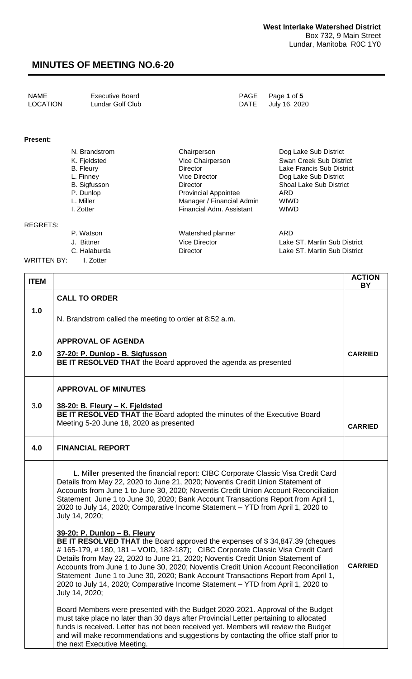| NAME     | <b>Executive Board</b> | PAGE Page 1 of 5   |
|----------|------------------------|--------------------|
| LOCATION | Lundar Golf Club       | DATE July 16, 2020 |
|          |                        |                    |

#### **Present:**

| N. Brandstrom    | Chairperson                 | Dog Lake Sub District          |
|------------------|-----------------------------|--------------------------------|
| K. Fjeldsted     | Vice Chairperson            | Swan Creek Sub District        |
| <b>B.</b> Fleury | <b>Director</b>             | Lake Francis Sub District      |
| L. Finney        | <b>Vice Director</b>        | Dog Lake Sub District          |
| B. Sigfusson     | Director                    | <b>Shoal Lake Sub District</b> |
| P. Dunlop        | <b>Provincial Appointee</b> | ARD                            |
| L. Miller        | Manager / Financial Admin   | <b>WIWD</b>                    |
| I. Zotter        | Financial Adm. Assistant    | <b>WIWD</b>                    |
|                  |                             |                                |

#### REGRETS:

P. Watson **Watershed planner** ARD

WRITTEN BY: I. Zotter

J. Bittner Vice Director Lake ST. Martin Sub District

C. Halaburda **Director** Director **Lake ST. Martin Sub District** 

| <b>ITEM</b> |                                                                                                                                                                                                                                                                                                                                                                                                                                                                                                                                                                   | <b>ACTION</b><br><b>BY</b> |
|-------------|-------------------------------------------------------------------------------------------------------------------------------------------------------------------------------------------------------------------------------------------------------------------------------------------------------------------------------------------------------------------------------------------------------------------------------------------------------------------------------------------------------------------------------------------------------------------|----------------------------|
|             | <b>CALL TO ORDER</b>                                                                                                                                                                                                                                                                                                                                                                                                                                                                                                                                              |                            |
| 1.0         | N. Brandstrom called the meeting to order at 8:52 a.m.                                                                                                                                                                                                                                                                                                                                                                                                                                                                                                            |                            |
|             | <b>APPROVAL OF AGENDA</b>                                                                                                                                                                                                                                                                                                                                                                                                                                                                                                                                         |                            |
| 2.0         | 37-20: P. Dunlop - B. Sigfusson<br>BE IT RESOLVED THAT the Board approved the agenda as presented                                                                                                                                                                                                                                                                                                                                                                                                                                                                 | <b>CARRIED</b>             |
|             | <b>APPROVAL OF MINUTES</b>                                                                                                                                                                                                                                                                                                                                                                                                                                                                                                                                        |                            |
| 3.0         | 38-20: B. Fleury - K. Fjeldsted<br>BE IT RESOLVED THAT the Board adopted the minutes of the Executive Board                                                                                                                                                                                                                                                                                                                                                                                                                                                       |                            |
|             | Meeting 5-20 June 18, 2020 as presented                                                                                                                                                                                                                                                                                                                                                                                                                                                                                                                           | <b>CARRIED</b>             |
| 4.0         | <b>FINANCIAL REPORT</b>                                                                                                                                                                                                                                                                                                                                                                                                                                                                                                                                           |                            |
|             | L. Miller presented the financial report: CIBC Corporate Classic Visa Credit Card<br>Details from May 22, 2020 to June 21, 2020; Noventis Credit Union Statement of<br>Accounts from June 1 to June 30, 2020; Noventis Credit Union Account Reconciliation<br>Statement June 1 to June 30, 2020; Bank Account Transactions Report from April 1,<br>2020 to July 14, 2020; Comparative Income Statement - YTD from April 1, 2020 to<br>July 14, 2020;                                                                                                              |                            |
|             | 39-20: P. Dunlop - B. Fleury<br>BE IT RESOLVED THAT the Board approved the expenses of \$34,847.39 (cheques<br># 165-179, # 180, 181 - VOID, 182-187); CIBC Corporate Classic Visa Credit Card<br>Details from May 22, 2020 to June 21, 2020; Noventis Credit Union Statement of<br>Accounts from June 1 to June 30, 2020; Noventis Credit Union Account Reconciliation<br>Statement June 1 to June 30, 2020; Bank Account Transactions Report from April 1,<br>2020 to July 14, 2020; Comparative Income Statement - YTD from April 1, 2020 to<br>July 14, 2020; | <b>CARRIED</b>             |
|             | Board Members were presented with the Budget 2020-2021. Approval of the Budget<br>must take place no later than 30 days after Provincial Letter pertaining to allocated<br>funds is received. Letter has not been received yet. Members will review the Budget<br>and will make recommendations and suggestions by contacting the office staff prior to<br>the next Executive Meeting.                                                                                                                                                                            |                            |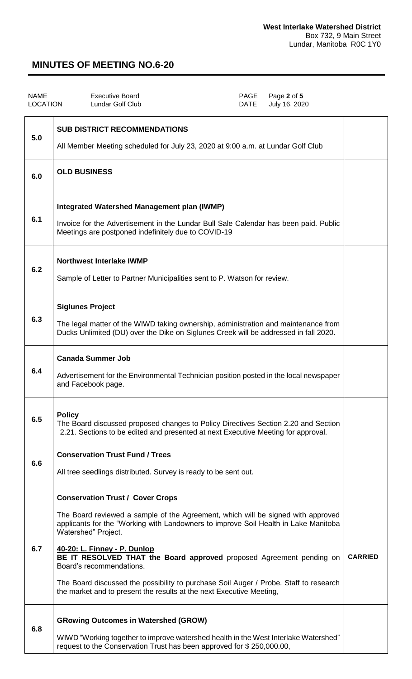| <b>NAME</b><br><b>LOCATION</b> | <b>Executive Board</b><br>PAGE<br>Page 2 of 5<br>Lundar Golf Club<br><b>DATE</b><br>July 16, 2020                                                                                                                                                                                                                                                                                                                                                                                                                                              |                |
|--------------------------------|------------------------------------------------------------------------------------------------------------------------------------------------------------------------------------------------------------------------------------------------------------------------------------------------------------------------------------------------------------------------------------------------------------------------------------------------------------------------------------------------------------------------------------------------|----------------|
| 5.0                            | <b>SUB DISTRICT RECOMMENDATIONS</b><br>All Member Meeting scheduled for July 23, 2020 at 9:00 a.m. at Lundar Golf Club                                                                                                                                                                                                                                                                                                                                                                                                                         |                |
| 6.0                            | <b>OLD BUSINESS</b>                                                                                                                                                                                                                                                                                                                                                                                                                                                                                                                            |                |
| 6.1                            | <b>Integrated Watershed Management plan (IWMP)</b><br>Invoice for the Advertisement in the Lundar Bull Sale Calendar has been paid. Public<br>Meetings are postponed indefinitely due to COVID-19                                                                                                                                                                                                                                                                                                                                              |                |
| 6.2                            | <b>Northwest Interlake IWMP</b><br>Sample of Letter to Partner Municipalities sent to P. Watson for review.                                                                                                                                                                                                                                                                                                                                                                                                                                    |                |
| 6.3                            | <b>Siglunes Project</b><br>The legal matter of the WIWD taking ownership, administration and maintenance from<br>Ducks Unlimited (DU) over the Dike on Siglunes Creek will be addressed in fall 2020.                                                                                                                                                                                                                                                                                                                                          |                |
| 6.4                            | <b>Canada Summer Job</b><br>Advertisement for the Environmental Technician position posted in the local newspaper<br>and Facebook page.                                                                                                                                                                                                                                                                                                                                                                                                        |                |
| 6.5                            | <b>Policy</b><br>The Board discussed proposed changes to Policy Directives Section 2.20 and Section<br>2.21. Sections to be edited and presented at next Executive Meeting for approval.                                                                                                                                                                                                                                                                                                                                                       |                |
| 6.6                            | <b>Conservation Trust Fund / Trees</b><br>All tree seedlings distributed. Survey is ready to be sent out.                                                                                                                                                                                                                                                                                                                                                                                                                                      |                |
| 6.7                            | <b>Conservation Trust / Cover Crops</b><br>The Board reviewed a sample of the Agreement, which will be signed with approved<br>applicants for the "Working with Landowners to improve Soil Health in Lake Manitoba<br>Watershed" Project.<br>40-20: L. Finney - P. Dunlop<br>BE IT RESOLVED THAT the Board approved proposed Agreement pending on<br>Board's recommendations.<br>The Board discussed the possibility to purchase Soil Auger / Probe. Staff to research<br>the market and to present the results at the next Executive Meeting, | <b>CARRIED</b> |
| 6.8                            | <b>GRowing Outcomes in Watershed (GROW)</b><br>WIWD "Working together to improve watershed health in the West Interlake Watershed"<br>request to the Conservation Trust has been approved for \$250,000.00,                                                                                                                                                                                                                                                                                                                                    |                |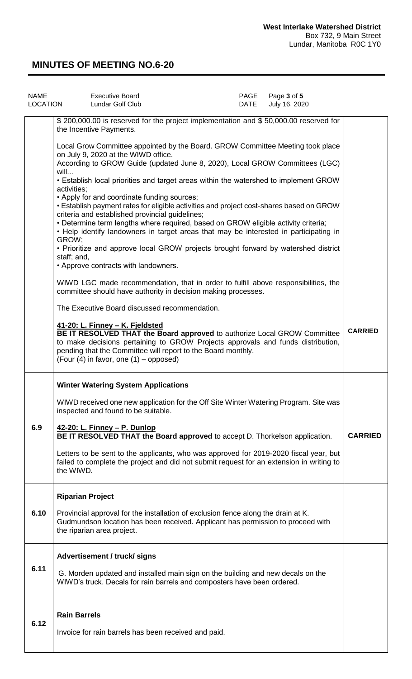| <b>NAME</b><br>LOCATION | <b>Executive Board</b><br>Lundar Golf Club                                                                                                                                                                                                                                                                                                                               | PAGE<br>DATE | Page 3 of 5<br>July 16, 2020 |                |
|-------------------------|--------------------------------------------------------------------------------------------------------------------------------------------------------------------------------------------------------------------------------------------------------------------------------------------------------------------------------------------------------------------------|--------------|------------------------------|----------------|
|                         | \$ 200,000.00 is reserved for the project implementation and \$ 50,000.00 reserved for<br>the Incentive Payments.                                                                                                                                                                                                                                                        |              |                              |                |
|                         | Local Grow Committee appointed by the Board. GROW Committee Meeting took place<br>on July 9, 2020 at the WIWD office.<br>According to GROW Guide (updated June 8, 2020), Local GROW Committees (LGC)<br>will                                                                                                                                                             |              |                              |                |
|                         | • Establish local priorities and target areas within the watershed to implement GROW<br>activities;                                                                                                                                                                                                                                                                      |              |                              |                |
|                         | • Apply for and coordinate funding sources;<br>• Establish payment rates for eligible activities and project cost-shares based on GROW<br>criteria and established provincial guidelines;<br>• Determine term lengths where required, based on GROW eligible activity criteria;<br>• Help identify landowners in target areas that may be interested in participating in |              |                              |                |
|                         | GROW;<br>• Prioritize and approve local GROW projects brought forward by watershed district<br>staff; and,<br>• Approve contracts with landowners.                                                                                                                                                                                                                       |              |                              |                |
|                         | WIWD LGC made recommendation, that in order to fulfill above responsibilities, the<br>committee should have authority in decision making processes.                                                                                                                                                                                                                      |              |                              |                |
|                         | The Executive Board discussed recommendation.                                                                                                                                                                                                                                                                                                                            |              |                              |                |
|                         | 41-20: L. Finney - K. Fjeldsted<br>BE IT RESOLVED THAT the Board approved to authorize Local GROW Committee<br>to make decisions pertaining to GROW Projects approvals and funds distribution,<br>pending that the Committee will report to the Board monthly.<br>(Four $(4)$ in favor, one $(1)$ – opposed)                                                             |              |                              | <b>CARRIED</b> |
|                         | <b>Winter Watering System Applications</b>                                                                                                                                                                                                                                                                                                                               |              |                              |                |
|                         | WIWD received one new application for the Off Site Winter Watering Program. Site was<br>inspected and found to be suitable.                                                                                                                                                                                                                                              |              |                              |                |
| 6.9                     | 42-20: L. Finney - P. Dunlop<br>BE IT RESOLVED THAT the Board approved to accept D. Thorkelson application.                                                                                                                                                                                                                                                              |              |                              | <b>CARRIED</b> |
|                         | Letters to be sent to the applicants, who was approved for 2019-2020 fiscal year, but<br>failed to complete the project and did not submit request for an extension in writing to<br>the WIWD.                                                                                                                                                                           |              |                              |                |
|                         | <b>Riparian Project</b>                                                                                                                                                                                                                                                                                                                                                  |              |                              |                |
| 6.10                    | Provincial approval for the installation of exclusion fence along the drain at K.<br>Gudmundson location has been received. Applicant has permission to proceed with<br>the riparian area project.                                                                                                                                                                       |              |                              |                |
|                         | Advertisement / truck/ signs                                                                                                                                                                                                                                                                                                                                             |              |                              |                |
| 6.11                    | G. Morden updated and installed main sign on the building and new decals on the<br>WIWD's truck. Decals for rain barrels and composters have been ordered.                                                                                                                                                                                                               |              |                              |                |
|                         | <b>Rain Barrels</b>                                                                                                                                                                                                                                                                                                                                                      |              |                              |                |
| 6.12                    | Invoice for rain barrels has been received and paid.                                                                                                                                                                                                                                                                                                                     |              |                              |                |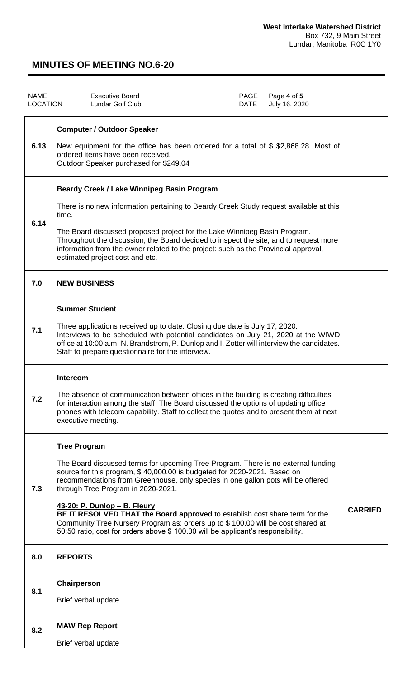| <b>NAME</b><br><b>LOCATION</b> | <b>Executive Board</b><br>Lundar Golf Club                                                                                                                                                                                                                                                                                                                                                                                                                                                                                                                                                                  | PAGE<br>DATE | Page 4 of 5<br>July 16, 2020 |                |
|--------------------------------|-------------------------------------------------------------------------------------------------------------------------------------------------------------------------------------------------------------------------------------------------------------------------------------------------------------------------------------------------------------------------------------------------------------------------------------------------------------------------------------------------------------------------------------------------------------------------------------------------------------|--------------|------------------------------|----------------|
| 6.13                           | <b>Computer / Outdoor Speaker</b><br>New equipment for the office has been ordered for a total of \$\$2,868.28. Most of<br>ordered items have been received.<br>Outdoor Speaker purchased for \$249.04                                                                                                                                                                                                                                                                                                                                                                                                      |              |                              |                |
| 6.14                           | <b>Beardy Creek / Lake Winnipeg Basin Program</b><br>There is no new information pertaining to Beardy Creek Study request available at this<br>time.<br>The Board discussed proposed project for the Lake Winnipeg Basin Program.<br>Throughout the discussion, the Board decided to inspect the site, and to request more<br>information from the owner related to the project: such as the Provincial approval,<br>estimated project cost and etc.                                                                                                                                                        |              |                              |                |
| 7.0                            | <b>NEW BUSINESS</b>                                                                                                                                                                                                                                                                                                                                                                                                                                                                                                                                                                                         |              |                              |                |
| 7.1                            | <b>Summer Student</b><br>Three applications received up to date. Closing due date is July 17, 2020.<br>Interviews to be scheduled with potential candidates on July 21, 2020 at the WIWD<br>office at 10:00 a.m. N. Brandstrom, P. Dunlop and I. Zotter will interview the candidates.<br>Staff to prepare questionnaire for the interview.                                                                                                                                                                                                                                                                 |              |                              |                |
| 7.2                            | <b>Intercom</b><br>The absence of communication between offices in the building is creating difficulties<br>for interaction among the staff. The Board discussed the options of updating office<br>phones with telecom capability. Staff to collect the quotes and to present them at next<br>executive meeting.                                                                                                                                                                                                                                                                                            |              |                              |                |
| 7.3                            | <b>Tree Program</b><br>The Board discussed terms for upcoming Tree Program. There is no external funding<br>source for this program, \$40,000.00 is budgeted for 2020-2021. Based on<br>recommendations from Greenhouse, only species in one gallon pots will be offered<br>through Tree Program in 2020-2021.<br><u>43-20: P. Dunlop - B. Fleury</u><br>BE IT RESOLVED THAT the Board approved to establish cost share term for the<br>Community Tree Nursery Program as: orders up to \$100.00 will be cost shared at<br>50:50 ratio, cost for orders above \$ 100.00 will be applicant's responsibility. |              |                              | <b>CARRIED</b> |
| 8.0                            | <b>REPORTS</b>                                                                                                                                                                                                                                                                                                                                                                                                                                                                                                                                                                                              |              |                              |                |
| 8.1                            | Chairperson<br>Brief verbal update                                                                                                                                                                                                                                                                                                                                                                                                                                                                                                                                                                          |              |                              |                |
| 8.2                            | <b>MAW Rep Report</b><br>Brief verbal update                                                                                                                                                                                                                                                                                                                                                                                                                                                                                                                                                                |              |                              |                |